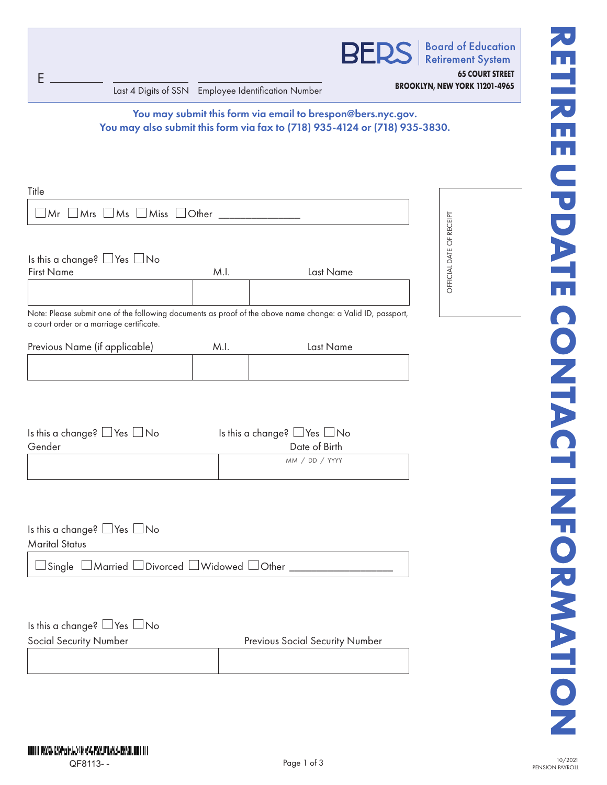**BED** 

**Board of Education Retirement System** 

**65 COURT STREET**

**BROOKLYN, NEW YORK 11201-4965** Last 4 Digits of SSN Employee Identification Number

You may submit this form via email to brespon@bers.nyc.gov. You may also submit this form via fax to (718) 935-4124 or (718) 935-3830.

| Title                                                                                                       |      |                                        |                          |
|-------------------------------------------------------------------------------------------------------------|------|----------------------------------------|--------------------------|
| $\Box$ Mr $\Box$ Mrs $\Box$ Ms $\Box$ Miss $\Box$ Other $\Box$                                              |      |                                        |                          |
|                                                                                                             |      |                                        | OFFICIAL DATE OF RECEIPT |
| Is this a change? $\Box$ Yes $\Box$ No                                                                      |      |                                        |                          |
| <b>First Name</b>                                                                                           | M.I. | Last Name                              |                          |
|                                                                                                             |      |                                        |                          |
| Note: Please submit one of the following documents as proof of the above name change: a Valid ID, passport, |      |                                        |                          |
| a court order or a marriage certificate.                                                                    |      |                                        |                          |
| Previous Name (if applicable)                                                                               | M.I. | Last Name                              |                          |
|                                                                                                             |      |                                        |                          |
|                                                                                                             |      |                                        |                          |
|                                                                                                             |      |                                        |                          |
| Is this a change? $\Box$ Yes $\Box$ No                                                                      |      | Is this a change? $\Box$ Yes $\Box$ No |                          |
| Gender                                                                                                      |      | Date of Birth                          |                          |
|                                                                                                             |      | MM / DD / YYYY                         |                          |
|                                                                                                             |      |                                        |                          |
|                                                                                                             |      |                                        |                          |
|                                                                                                             |      |                                        |                          |
| Is this a change? $\Box$ Yes $\Box$ No                                                                      |      |                                        |                          |
| <b>Marital Status</b>                                                                                       |      |                                        |                          |

 $\Box$  Single  $\Box$  Married  $\Box$  Divorced  $\Box$  Widowed  $\Box$  Other

Is this a change?  $\Box$  Yes  $\Box$  No

G E

Social Security Number **Previous Social Security Number** Previous Social Security Number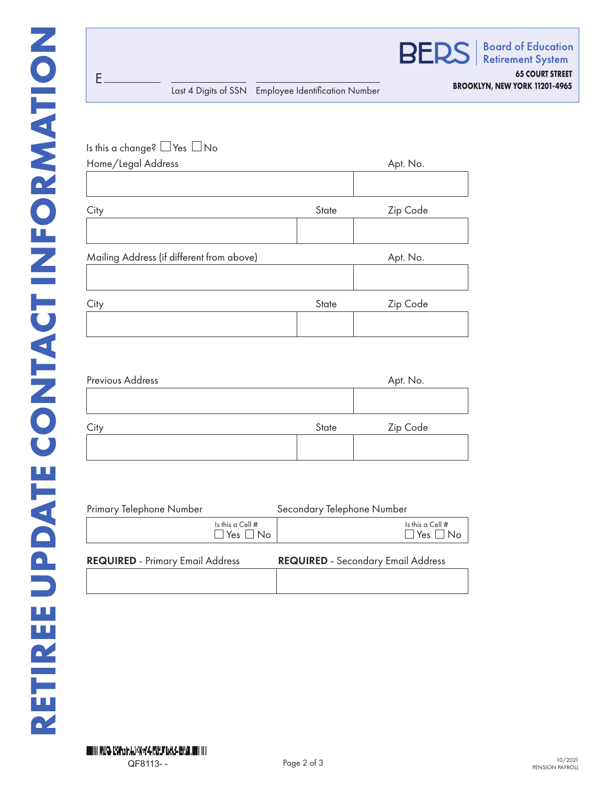G E



| Is this a change? $\Box$ Yes $\Box$ No    |       |          |
|-------------------------------------------|-------|----------|
| Home/Legal Address                        |       | Apt. No. |
|                                           |       |          |
| City                                      | State | Zip Code |
|                                           |       |          |
| Mailing Address (if different from above) |       | Apt. No. |
|                                           |       |          |
| City                                      | State | Zip Code |
|                                           |       |          |
|                                           |       |          |
| Previous Address                          |       | Apt. No. |
|                                           |       |          |
| City                                      | State | Zip Code |
|                                           |       |          |
|                                           |       |          |
|                                           |       |          |

| Primary Telephone Number                 | Secondary Telephone Number                |  |  |
|------------------------------------------|-------------------------------------------|--|--|
| Is this a Cell #<br>$\Box$ Yes $\Box$ No | Is this a Cell #<br>$\Box$ Yes $\Box$ No  |  |  |
| <b>REQUIRED</b> - Primary Email Address  | <b>REQUIRED</b> - Secondary Email Address |  |  |
|                                          |                                           |  |  |